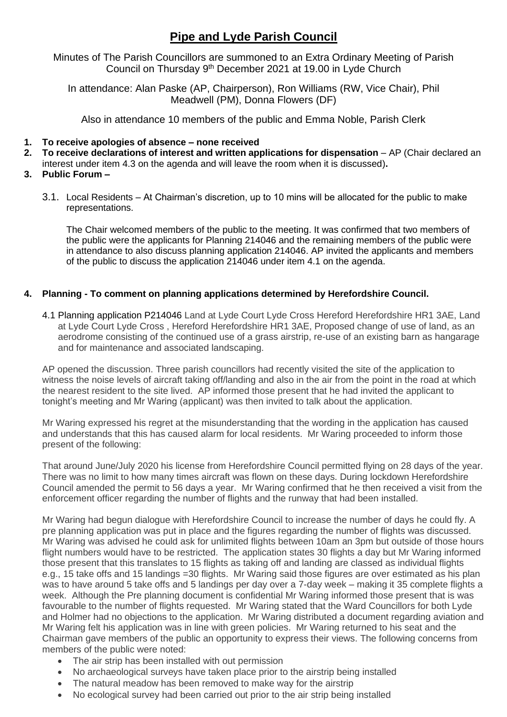# **Pipe and Lyde Parish Council**

Minutes of The Parish Councillors are summoned to an Extra Ordinary Meeting of Parish Council on Thursday 9<sup>th</sup> December 2021 at 19.00 in Lyde Church

In attendance: Alan Paske (AP, Chairperson), Ron Williams (RW, Vice Chair), Phil Meadwell (PM), Donna Flowers (DF)

Also in attendance 10 members of the public and Emma Noble, Parish Clerk

# **1. To receive apologies of absence – none received**

**2. To receive declarations of interest and written applications for dispensation** – AP (Chair declared an interest under item 4.3 on the agenda and will leave the room when it is discussed)**.** 

#### **3. Public Forum –**

3.1. Local Residents – At Chairman's discretion, up to 10 mins will be allocated for the public to make representations.

The Chair welcomed members of the public to the meeting. It was confirmed that two members of the public were the applicants for Planning 214046 and the remaining members of the public were in attendance to also discuss planning application 214046. AP invited the applicants and members of the public to discuss the application 214046 under item 4.1 on the agenda.

#### **4. Planning - To comment on planning applications determined by Herefordshire Council.**

4.1 Planning application [P214046](https://www.herefordshire.gov.uk/info/200142/planning_services/planning_application_search/details?id=214046&search-service=parish&search-source=Parish&search-item=Pipe%20and%20Lyde&search-term=E04000853) Land at Lyde Court Lyde Cross Hereford Herefordshire HR1 3AE, Land at Lyde Court Lyde Cross , Hereford Herefordshire HR1 3AE, Proposed change of use of land, as an aerodrome consisting of the continued use of a grass airstrip, re-use of an existing barn as hangarage and for maintenance and associated landscaping.

AP opened the discussion. Three parish councillors had recently visited the site of the application to witness the noise levels of aircraft taking off/landing and also in the air from the point in the road at which the nearest resident to the site lived. AP informed those present that he had invited the applicant to tonight's meeting and Mr Waring (applicant) was then invited to talk about the application.

Mr Waring expressed his regret at the misunderstanding that the wording in the application has caused and understands that this has caused alarm for local residents. Mr Waring proceeded to inform those present of the following:

That around June/July 2020 his license from Herefordshire Council permitted flying on 28 days of the year. There was no limit to how many times aircraft was flown on these days. During lockdown Herefordshire Council amended the permit to 56 days a year. Mr Waring confirmed that he then received a visit from the enforcement officer regarding the number of flights and the runway that had been installed.

Mr Waring had begun dialogue with Herefordshire Council to increase the number of days he could fly. A pre planning application was put in place and the figures regarding the number of flights was discussed. Mr Waring was advised he could ask for unlimited flights between 10am an 3pm but outside of those hours flight numbers would have to be restricted. The application states 30 flights a day but Mr Waring informed those present that this translates to 15 flights as taking off and landing are classed as individual flights e.g., 15 take offs and 15 landings =30 flights. Mr Waring said those figures are over estimated as his plan was to have around 5 take offs and 5 landings per day over a 7-day week – making it 35 complete flights a week. Although the Pre planning document is confidential Mr Waring informed those present that is was favourable to the number of flights requested. Mr Waring stated that the Ward Councillors for both Lyde and Holmer had no objections to the application. Mr Waring distributed a document regarding aviation and Mr Waring felt his application was in line with green policies. Mr Waring returned to his seat and the Chairman gave members of the public an opportunity to express their views. The following concerns from members of the public were noted:

- The air strip has been installed with out permission
- No archaeological surveys have taken place prior to the airstrip being installed
- The natural meadow has been removed to make way for the airstrip
- No ecological survey had been carried out prior to the air strip being installed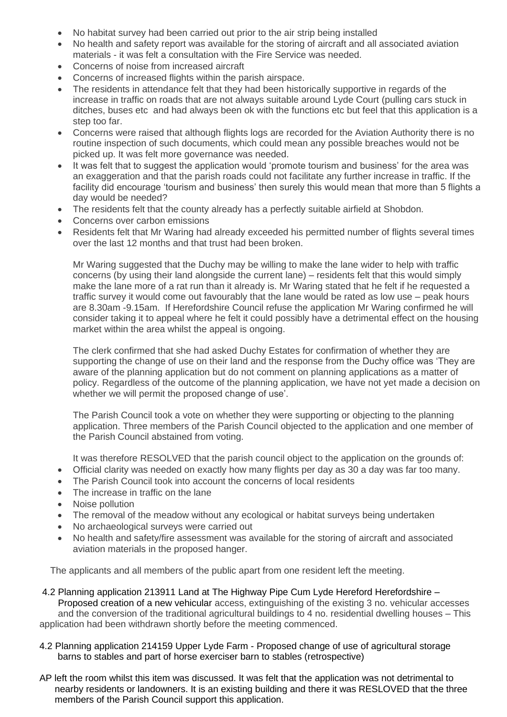- No habitat survey had been carried out prior to the air strip being installed
- No health and safety report was available for the storing of aircraft and all associated aviation materials - it was felt a consultation with the Fire Service was needed.
- Concerns of noise from increased aircraft
- Concerns of increased flights within the parish airspace.
- The residents in attendance felt that they had been historically supportive in regards of the increase in traffic on roads that are not always suitable around Lyde Court (pulling cars stuck in ditches, buses etc and had always been ok with the functions etc but feel that this application is a step too far.
- Concerns were raised that although flights logs are recorded for the Aviation Authority there is no routine inspection of such documents, which could mean any possible breaches would not be picked up. It was felt more governance was needed.
- It was felt that to suggest the application would 'promote tourism and business' for the area was an exaggeration and that the parish roads could not facilitate any further increase in traffic. If the facility did encourage 'tourism and business' then surely this would mean that more than 5 flights a day would be needed?
- The residents felt that the county already has a perfectly suitable airfield at Shobdon.
- Concerns over carbon emissions
- Residents felt that Mr Waring had already exceeded his permitted number of flights several times over the last 12 months and that trust had been broken.

Mr Waring suggested that the Duchy may be willing to make the lane wider to help with traffic concerns (by using their land alongside the current lane) – residents felt that this would simply make the lane more of a rat run than it already is. Mr Waring stated that he felt if he requested a traffic survey it would come out favourably that the lane would be rated as low use – peak hours are 8.30am -9.15am. If Herefordshire Council refuse the application Mr Waring confirmed he will consider taking it to appeal where he felt it could possibly have a detrimental effect on the housing market within the area whilst the appeal is ongoing.

The clerk confirmed that she had asked Duchy Estates for confirmation of whether they are supporting the change of use on their land and the response from the Duchy office was 'They are aware of the planning application but do not comment on planning applications as a matter of policy. Regardless of the outcome of the planning application, we have not yet made a decision on whether we will permit the proposed change of use'.

The Parish Council took a vote on whether they were supporting or objecting to the planning application. Three members of the Parish Council objected to the application and one member of the Parish Council abstained from voting.

It was therefore RESOLVED that the parish council object to the application on the grounds of:

- Official clarity was needed on exactly how many flights per day as 30 a day was far too many.
- The Parish Council took into account the concerns of local residents
- The increase in traffic on the lane
- Noise pollution
- The removal of the meadow without any ecological or habitat surveys being undertaken
- No archaeological surveys were carried out
- No health and safety/fire assessment was available for the storing of aircraft and associated aviation materials in the proposed hanger.

The applicants and all members of the public apart from one resident left the meeting.

4.2 Planning application [213911](https://www.herefordshire.gov.uk/info/200142/planning_services/planning_application_search/details?id=213911&search-service=parish&search-source=Parish&search-item=Pipe%20and%20Lyde&search-term=E04000853) Land at The Highway Pipe Cum Lyde Hereford Herefordshire – Proposed creation of a new vehicular access, extinguishing of the existing 3 no. vehicular accesses and the conversion of the traditional agricultural buildings to 4 no. residential dwelling houses – This application had been withdrawn shortly before the meeting commenced.

- 4.2 Planning application 214159 Upper Lyde Farm Proposed change of use of agricultural storage barns to stables and part of horse exerciser barn to stables (retrospective)
- AP left the room whilst this item was discussed. It was felt that the application was not detrimental to nearby residents or landowners. It is an existing building and there it was RESLOVED that the three members of the Parish Council support this application.